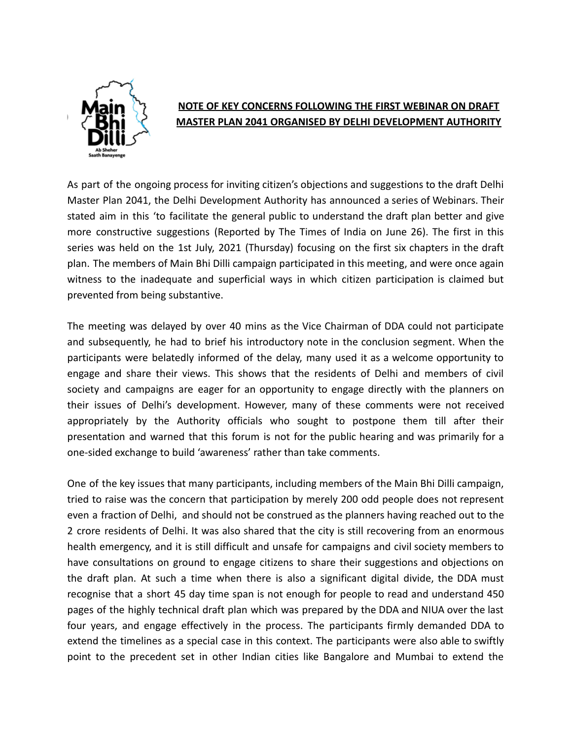

## **NOTE OF KEY CONCERNS FOLLOWING THE FIRST WEBINAR ON DRAFT MASTER PLAN 2041 ORGANISED BY DELHI DEVELOPMENT AUTHORITY**

As part of the ongoing process for inviting citizen's objections and suggestions to the draft Delhi Master Plan 2041, the Delhi Development Authority has announced a series of Webinars. Their stated aim in this 'to facilitate the general public to understand the draft plan better and give more constructive suggestions (Reported by The Times of India on June 26). The first in this series was held on the 1st July, 2021 (Thursday) focusing on the first six chapters in the draft plan. The members of Main Bhi Dilli campaign participated in this meeting, and were once again witness to the inadequate and superficial ways in which citizen participation is claimed but prevented from being substantive.

The meeting was delayed by over 40 mins as the Vice Chairman of DDA could not participate and subsequently, he had to brief his introductory note in the conclusion segment. When the participants were belatedly informed of the delay, many used it as a welcome opportunity to engage and share their views. This shows that the residents of Delhi and members of civil society and campaigns are eager for an opportunity to engage directly with the planners on their issues of Delhi's development. However, many of these comments were not received appropriately by the Authority officials who sought to postpone them till after their presentation and warned that this forum is not for the public hearing and was primarily for a one-sided exchange to build 'awareness' rather than take comments.

One of the key issues that many participants, including members of the Main Bhi Dilli campaign, tried to raise was the concern that participation by merely 200 odd people does not represent even a fraction of Delhi, and should not be construed as the planners having reached out to the 2 crore residents of Delhi. It was also shared that the city is still recovering from an enormous health emergency, and it is still difficult and unsafe for campaigns and civil society members to have consultations on ground to engage citizens to share their suggestions and objections on the draft plan. At such a time when there is also a significant digital divide, the DDA must recognise that a short 45 day time span is not enough for people to read and understand 450 pages of the highly technical draft plan which was prepared by the DDA and NIUA over the last four years, and engage effectively in the process. The participants firmly demanded DDA to extend the timelines as a special case in this context. The participants were also able to swiftly point to the precedent set in other Indian cities like Bangalore and Mumbai to extend the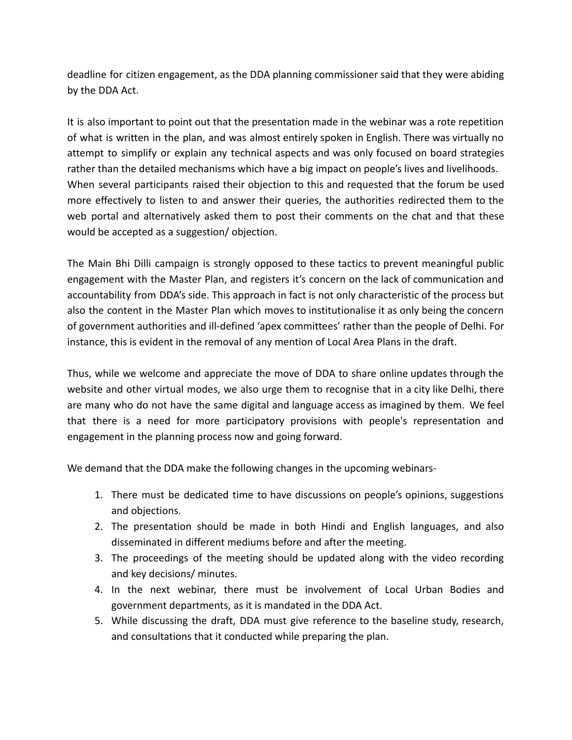deadline for citizen engagement, as the DDA planning commissioner said that they were abiding by the DDA Act.

It is also important to point out that the presentation made in the webinar was a rote repetition of what is written in the plan, and was almost entirely spoken in English. There was virtually no attempt to simplify or explain any technical aspects and was only focused on board strategies rather than the detailed mechanisms which have a big impact on people's lives and livelihoods. When several participants raised their objection to this and requested that the forum be used more effectively to listen to and answer their queries, the authorities redirected them to the web portal and alternatively asked them to post their comments on the chat and that these would be accepted as a suggestion/ objection.

The Main Bhi Dilli campaign is strongly opposed to these tactics to prevent meaningful public engagement with the Master Plan, and registers it's concern on the lack of communication and accountability from DDA's side. This approach in fact is not only characteristic of the process but also the content in the Master Plan which moves to institutionalise it as only being the concern of government authorities and ill-defined 'apex committees' rather than the people of Delhi. For instance, this is evident in the removal of any mention of Local Area Plans in the draft.

Thus, while we welcome and appreciate the move of DDA to share online updates through the website and other virtual modes, we also urge them to recognise that in a city like Delhi, there are many who do not have the same digital and language access as imagined by them. We feel that there is a need for more participatory provisions with people's representation and engagement in the planning process now and going forward.

We demand that the DDA make the following changes in the upcoming webinars-

- 1. There must be dedicated time to have discussions on people's opinions, suggestions and objections.
- 2. The presentation should be made in both Hindi and English languages, and also disseminated in different mediums before and after the meeting.
- 3. The proceedings of the meeting should be updated along with the video recording and key decisions/ minutes.
- 4. In the next webinar, there must be involvement of Local Urban Bodies and government departments, as it is mandated in the DDA Act.
- 5. While discussing the draft, DDA must give reference to the baseline study, research, and consultations that it conducted while preparing the plan.